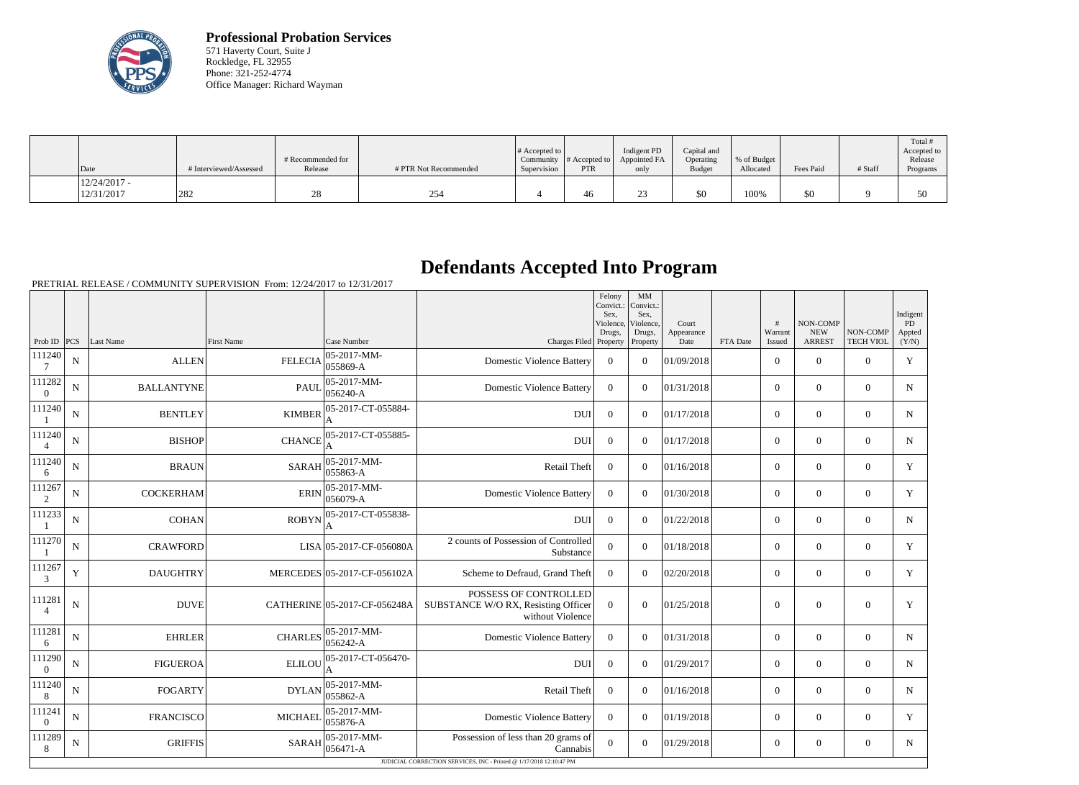

**Professional Probation Services** 571 Haverty Court, Suite J Rockledge, FL 32955 Phone: 321-252-4774 Office Manager: Richard Wayman

| Date                         | # Interviewed/Assessed | # Recommended for<br>Release | # PTR Not Recommended | $\#$ Accepted to<br>Community  <br>Supervision | $\#$ Accepted to $\ $<br><b>PTR</b> | Indigent PD<br>Appointed FA<br>only | Capital and<br>Operating<br><b>Budget</b> | \, % of Budget<br>Allocated | Fees Paid | # Staff | Total #<br>Accepted to<br>Release<br>Programs |
|------------------------------|------------------------|------------------------------|-----------------------|------------------------------------------------|-------------------------------------|-------------------------------------|-------------------------------------------|-----------------------------|-----------|---------|-----------------------------------------------|
| $12/24/2017 -$<br>12/31/2017 | 282                    |                              | 254                   |                                                | 46                                  | $\sim$                              | \$0                                       | 100%                        | \$0       |         | 50                                            |

## **Defendants Accepted Into Program**

PRETRIAL RELEASE / COMMUNITY SUPERVISION From: 12/24/2017 to 12/31/2017

|                          |                |                   |                   |                              |                                                                                  | Felony<br>Sex.<br>Violence,<br>Drugs, | MM<br>Convict.: Convict.:<br>Sex.<br>Violence,<br>Drugs, | Court<br>Appearance |          | #<br>Warrant   | NON-COMP<br><b>NEW</b> | NON-COMP         | Indigent<br>PD<br>Appted |
|--------------------------|----------------|-------------------|-------------------|------------------------------|----------------------------------------------------------------------------------|---------------------------------------|----------------------------------------------------------|---------------------|----------|----------------|------------------------|------------------|--------------------------|
| Prob ID $ PCS $          |                | Last Name         | <b>First Name</b> | Case Number                  | Charges Filed Property                                                           |                                       | Property                                                 | Date                | FTA Date | Issued         | <b>ARREST</b>          | <b>TECH VIOL</b> | (Y/N)                    |
| 111240<br>7              | $\mathbf N$    | <b>ALLEN</b>      | <b>FELECIA</b>    | 05-2017-MM-<br>055869-A      | <b>Domestic Violence Battery</b>                                                 | $\Omega$                              | $\theta$                                                 | 01/09/2018          |          | $\Omega$       | $\theta$               | $\Omega$         | Y                        |
| 111282<br>$\overline{0}$ | $\mathbf N$    | <b>BALLANTYNE</b> | <b>PAUL</b>       | 05-2017-MM-<br>056240-A      | <b>Domestic Violence Battery</b>                                                 | $\overline{0}$                        | $\overline{0}$                                           | 01/31/2018          |          | $\overline{0}$ | $\boldsymbol{0}$       | $\overline{0}$   | $\mathbf N$              |
| 111240                   | N              | <b>BENTLEY</b>    | <b>KIMBER</b>     | 05-2017-CT-055884-           | <b>DUI</b>                                                                       | $\mathbf{0}$                          | $\overline{0}$                                           | 01/17/2018          |          | $\overline{0}$ | $\mathbf{0}$           | $\overline{0}$   | $N_{\rm}$                |
| 111240<br>$\overline{4}$ | N              | <b>BISHOP</b>     | <b>CHANCE</b>     | 05-2017-CT-055885-           | <b>DUI</b>                                                                       | $\Omega$                              | $\Omega$                                                 | 01/17/2018          |          | $\overline{0}$ | $\boldsymbol{0}$       | $\overline{0}$   | $N_{\rm}$                |
| 111240<br>6              | $\mathbf N$    | <b>BRAUN</b>      | <b>SARAH</b>      | 05-2017-MM-<br>055863-A      | Retail Theft                                                                     | $\theta$                              | $\Omega$                                                 | 01/16/2018          |          | $\overline{0}$ | $\boldsymbol{0}$       | $\overline{0}$   | Y                        |
| 111267<br>2              | N              | <b>COCKERHAM</b>  | <b>ERIN</b>       | 05-2017-MM-<br>056079-A      | <b>Domestic Violence Battery</b>                                                 | $\Omega$                              | $\Omega$                                                 | 01/30/2018          |          | $\overline{0}$ | $\boldsymbol{0}$       | $\mathbf{0}$     | Y                        |
| 111233                   | $\mathbf N$    | <b>COHAN</b>      | <b>ROBYN</b>      | 05-2017-CT-055838-<br>А      | <b>DUI</b>                                                                       | $\overline{0}$                        | $\overline{0}$                                           | 01/22/2018          |          | $\overline{0}$ | $\mathbf{0}$           | $\overline{0}$   | $\mathbf N$              |
| 111270                   | ${\bf N}$      | <b>CRAWFORD</b>   |                   | $LISA$ 05-2017-CF-056080A    | 2 counts of Possession of Controlled<br>Substance                                | $\overline{0}$                        | $\overline{0}$                                           | 01/18/2018          |          | $\overline{0}$ | $\boldsymbol{0}$       | $\overline{0}$   | Y                        |
| 111267<br>3              | Y              | <b>DAUGHTRY</b>   |                   | MERCEDES 05-2017-CF-056102A  | Scheme to Defraud, Grand Theft                                                   | $\Omega$                              | $\Omega$                                                 | 02/20/2018          |          | $\overline{0}$ | $\mathbf{0}$           | $\overline{0}$   | Y                        |
| 111281<br>$\overline{4}$ | $\overline{N}$ | <b>DUVE</b>       |                   | CATHERINE 05-2017-CF-056248A | POSSESS OF CONTROLLED<br>SUBSTANCE W/O RX, Resisting Officer<br>without Violence | $\overline{0}$                        | $\overline{0}$                                           | 01/25/2018          |          | $\overline{0}$ | $\boldsymbol{0}$       | $\mathbf{0}$     | Y                        |
| 111281<br>6              | $\mathbf N$    | <b>EHRLER</b>     | <b>CHARLES</b>    | $ 05-2017-MM-$<br>056242-A   | <b>Domestic Violence Battery</b>                                                 | $\overline{0}$                        | $\Omega$                                                 | 01/31/2018          |          | $\overline{0}$ | $\mathbf{0}$           | $\mathbf{0}$     | N                        |
| 111290<br>$\overline{0}$ | $\mathbf N$    | <b>FIGUEROA</b>   | <b>ELILOU</b>     | 05-2017-CT-056470-           | <b>DUI</b>                                                                       | $\Omega$                              | $\Omega$                                                 | 01/29/2017          |          | $\overline{0}$ | $\boldsymbol{0}$       | $\overline{0}$   | N                        |
| 111240<br>8              | $\mathbf N$    | <b>FOGARTY</b>    | <b>DYLAN</b>      | 05-2017-MM-<br>055862-A      | <b>Retail Theft</b>                                                              | $\Omega$                              | $\Omega$                                                 | 01/16/2018          |          | $\Omega$       | $\theta$               | $\Omega$         | $\mathbf N$              |
| 111241<br>$\mathbf{0}$   | $\mathbf N$    | <b>FRANCISCO</b>  | <b>MICHAEL</b>    | 05-2017-MM-<br>055876-A      | <b>Domestic Violence Battery</b>                                                 | $\overline{0}$                        | $\overline{0}$                                           | 01/19/2018          |          | $\overline{0}$ | $\mathbf{0}$           | $\overline{0}$   | Y                        |
| 111289<br>8              | $\mathbf N$    | <b>GRIFFIS</b>    | <b>SARAH</b>      | 05-2017-MM-<br>056471-A      | Possession of less than 20 grams of<br>Cannabis                                  | $\overline{0}$                        | $\overline{0}$                                           | 01/29/2018          |          | $\overline{0}$ | $\mathbf{0}$           | $\overline{0}$   | N                        |
|                          |                |                   |                   |                              | JUDICIAL CORRECTION SERVICES, INC - Printed @ 1/17/2018 12:10:47 PM              |                                       |                                                          |                     |          |                |                        |                  |                          |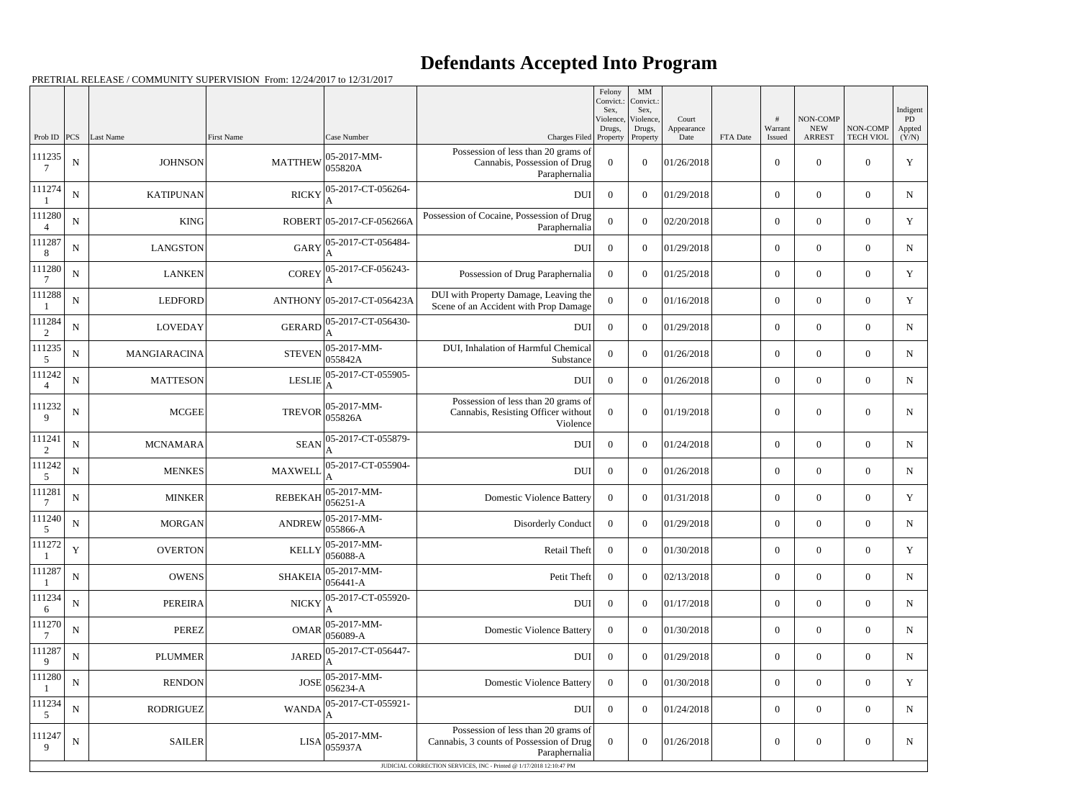## **Defendants Accepted Into Program**

PRETRIAL RELEASE / COMMUNITY SUPERVISION From: 12/24/2017 to 12/31/2017

| Sex,<br>Sex,<br>NON-COMP<br>Violence,<br>Violence,<br>Court<br>#<br><b>NEW</b><br>Warrant<br>Drugs,<br>Drugs,<br>Appearance<br>Prob ID $ PCS $<br>Last Name<br><b>First Name</b><br>Case Number<br><b>ARREST</b><br>Charges Filed Property<br>Date<br>FTA Date<br>Property<br>Issued<br>Possession of less than 20 grams of<br>111235<br>$ 05 - 2017 - MM -$<br>${\bf N}$<br><b>JOHNSON</b><br><b>MATTHEW</b><br>Cannabis, Possession of Drug<br>$\theta$<br>$\overline{0}$<br>01/26/2018<br>$\overline{0}$<br>055820A<br>7<br>Paraphernalia<br>111274<br>05-2017-CT-056264-<br><b>RICKY</b><br>${\bf N}$<br><b>KATIPUNAN</b><br><b>DUI</b><br>$\Omega$<br>$\Omega$<br>01/29/2018<br>$\overline{0}$<br>111280<br>Possession of Cocaine, Possession of Drug | Indigent<br>PD<br>NON-COMP<br>Appted<br><b>TECH VIOL</b><br>(Y/N)<br>$\overline{0}$<br>Y<br>$\overline{0}$<br>$\overline{0}$<br>$\overline{0}$<br>N |
|------------------------------------------------------------------------------------------------------------------------------------------------------------------------------------------------------------------------------------------------------------------------------------------------------------------------------------------------------------------------------------------------------------------------------------------------------------------------------------------------------------------------------------------------------------------------------------------------------------------------------------------------------------------------------------------------------------------------------------------------------------|-----------------------------------------------------------------------------------------------------------------------------------------------------|
|                                                                                                                                                                                                                                                                                                                                                                                                                                                                                                                                                                                                                                                                                                                                                            |                                                                                                                                                     |
|                                                                                                                                                                                                                                                                                                                                                                                                                                                                                                                                                                                                                                                                                                                                                            |                                                                                                                                                     |
|                                                                                                                                                                                                                                                                                                                                                                                                                                                                                                                                                                                                                                                                                                                                                            |                                                                                                                                                     |
| ${\bf N}$<br><b>KING</b><br>ROBERT 05-2017-CF-056266A<br>$\Omega$<br>$\Omega$<br>02/20/2018<br>$\overline{0}$<br>$\overline{4}$<br>Paraphernalia                                                                                                                                                                                                                                                                                                                                                                                                                                                                                                                                                                                                           | $\overline{0}$<br>Y<br>$\overline{0}$                                                                                                               |
| 111287<br>05-2017-CT-056484-<br><b>GARY</b><br>${\bf N}$<br><b>LANGSTON</b><br><b>DUI</b><br>01/29/2018<br>$\Omega$<br>$\Omega$<br>$\overline{0}$<br>8                                                                                                                                                                                                                                                                                                                                                                                                                                                                                                                                                                                                     | $\overline{0}$<br>$\overline{0}$<br>$N_{\rm}$                                                                                                       |
| 111280<br>05-2017-CF-056243-<br>${\bf N}$<br><b>COREY</b><br><b>LANKEN</b><br>Possession of Drug Paraphernalia<br>$\theta$<br>$\overline{0}$<br>01/25/2018<br>$\overline{0}$<br>7<br>A                                                                                                                                                                                                                                                                                                                                                                                                                                                                                                                                                                     | $\overline{0}$<br>Y<br>$\overline{0}$                                                                                                               |
| 111288<br>DUI with Property Damage, Leaving the<br>${\bf N}$<br><b>LEDFORD</b><br>$\theta$<br>ANTHONY 05-2017-CT-056423A<br>$\Omega$<br>01/16/2018<br>$\overline{0}$<br>Scene of an Accident with Prop Damage                                                                                                                                                                                                                                                                                                                                                                                                                                                                                                                                              | $\overline{0}$<br>Y<br>$\overline{0}$                                                                                                               |
| 111284<br>GERARD 05-2017-CT-056430-<br>${\bf N}$<br><b>LOVEDAY</b><br>01/29/2018<br><b>DUI</b><br>$\overline{0}$<br>$\overline{0}$<br>$\overline{0}$<br>2<br>А                                                                                                                                                                                                                                                                                                                                                                                                                                                                                                                                                                                             | $\overline{0}$<br>$\overline{0}$<br>N                                                                                                               |
| 111235<br>DUI, Inhalation of Harmful Chemical<br>05-2017-MM-<br><b>STEVEN</b><br>${\bf N}$<br>MANGIARACINA<br>$\Omega$<br>$\Omega$<br>01/26/2018<br>$\overline{0}$<br>055842A<br>Substance<br>5                                                                                                                                                                                                                                                                                                                                                                                                                                                                                                                                                            | $\overline{0}$<br>$\overline{0}$<br>$N_{\rm}$                                                                                                       |
| 111242<br>05-2017-CT-055905-<br>$\mathbf N$<br><b>MATTESON</b><br><b>LESLIE</b><br><b>DUI</b><br>$\Omega$<br>$\Omega$<br>01/26/2018<br>$\overline{0}$<br>$\overline{4}$                                                                                                                                                                                                                                                                                                                                                                                                                                                                                                                                                                                    | $\overline{0}$<br>$\overline{0}$<br>N                                                                                                               |
| Possession of less than 20 grams of<br>111232<br>$ 05-2017-MM-$<br><b>MCGEE</b><br>${\bf N}$<br><b>TREVOR</b><br>Cannabis, Resisting Officer without<br>$\Omega$<br>$\overline{0}$<br>01/19/2018<br>$\overline{0}$<br>055826A<br>9<br>Violence                                                                                                                                                                                                                                                                                                                                                                                                                                                                                                             | $\boldsymbol{0}$<br>$\overline{0}$<br>N                                                                                                             |
| 111241<br>05-2017-CT-055879-<br>${\bf N}$<br><b>SEAN</b><br><b>MCNAMARA</b><br><b>DUI</b><br>$\overline{0}$<br>$\overline{0}$<br>01/24/2018<br>$\overline{0}$<br>2                                                                                                                                                                                                                                                                                                                                                                                                                                                                                                                                                                                         | $\overline{0}$<br>$\overline{0}$<br>N                                                                                                               |
| 111242<br>05-2017-CT-055904-<br><b>MAXWELI</b><br>${\bf N}$<br><b>MENKES</b><br>$DUI$<br>$\overline{0}$<br>$\overline{0}$<br>01/26/2018<br>$\overline{0}$<br>5                                                                                                                                                                                                                                                                                                                                                                                                                                                                                                                                                                                             | $\overline{0}$<br>$\overline{0}$<br>$N_{\rm}$                                                                                                       |
| 111281<br>05-2017-MM-<br>${\bf N}$<br><b>REBEKAH</b><br><b>MINKER</b><br><b>Domestic Violence Battery</b><br>01/31/2018<br>$\Omega$<br>$\Omega$<br>$\overline{0}$<br>056251-A                                                                                                                                                                                                                                                                                                                                                                                                                                                                                                                                                                              | $\overline{0}$<br>Y<br>$\overline{0}$                                                                                                               |
| 111240<br>$ANDREW$ $\Big  05 - 2017 - MM -$<br>${\bf N}$<br><b>MORGAN</b><br>01/29/2018<br>Disorderly Conduct<br>$\overline{0}$<br>$\boldsymbol{0}$<br>$\overline{0}$<br>055866-A<br>5                                                                                                                                                                                                                                                                                                                                                                                                                                                                                                                                                                     | $\mathbf N$<br>$\overline{0}$<br>$\overline{0}$                                                                                                     |
| 111272<br>05-2017-MM-<br>$\mathbf Y$<br><b>OVERTON</b><br>Retail Theft<br>$\overline{0}$<br>01/30/2018<br><b>KELLY</b><br>$\overline{0}$<br>$\boldsymbol{0}$<br>$ 056088-A$                                                                                                                                                                                                                                                                                                                                                                                                                                                                                                                                                                                | $\overline{0}$<br>Y<br>$\overline{0}$                                                                                                               |
| 111287<br>$ 05-2017-MM-$<br>${\bf N}$<br><b>OWENS</b><br><b>SHAKEIA</b><br>Petit Theft<br> 02/13/2018<br>$\overline{0}$<br>$\overline{0}$<br>$\overline{0}$<br>$ 056441 - A$                                                                                                                                                                                                                                                                                                                                                                                                                                                                                                                                                                               | $\overline{0}$<br>N<br>$\overline{0}$                                                                                                               |
| 111234<br>05-2017-CT-055920-<br>${\bf N}$<br><b>NICKY</b><br>$DUI$<br><b>PEREIRA</b><br>$\overline{0}$<br>01/17/2018<br>$\overline{0}$<br>$\overline{0}$<br>6<br>A                                                                                                                                                                                                                                                                                                                                                                                                                                                                                                                                                                                         | $\overline{0}$<br>$\overline{0}$<br>N                                                                                                               |
| 111270<br>05-2017-MM-<br>${\bf N}$<br><b>OMAR</b><br><b>Domestic Violence Battery</b><br><b>PEREZ</b><br>01/30/2018<br>$\theta$<br>$\Omega$<br>$\overline{0}$<br>$056089-A$<br>$\overline{7}$                                                                                                                                                                                                                                                                                                                                                                                                                                                                                                                                                              | $\boldsymbol{0}$<br>$\boldsymbol{0}$<br>$N_{\rm}$                                                                                                   |
| 111287<br>05-2017-CT-056447-<br>${\bf N}$<br><b>JARED</b><br><b>PLUMMER</b><br><b>DUI</b><br>01/29/2018<br>$\overline{0}$<br>$\overline{0}$<br>$\boldsymbol{0}$<br>9                                                                                                                                                                                                                                                                                                                                                                                                                                                                                                                                                                                       | $\overline{0}$<br>$\overline{0}$<br>$\mathbf N$                                                                                                     |
| 05-2017-MM-<br>111280<br>${\bf N}$<br><b>JOSE</b><br><b>RENDON</b><br><b>Domestic Violence Battery</b><br>$\overline{0}$<br>$\overline{0}$<br>01/30/2018<br>$\overline{0}$<br>056234-A                                                                                                                                                                                                                                                                                                                                                                                                                                                                                                                                                                     | $\boldsymbol{0}$<br>Y<br>$\overline{0}$                                                                                                             |
| 111234<br>05-2017-CT-055921-<br>${\bf N}$<br><b>DUI</b><br><b>RODRIGUEZ</b><br><b>WANDA</b><br>$\overline{0}$<br>01/24/2018<br>$\overline{0}$<br>$\overline{0}$<br>5                                                                                                                                                                                                                                                                                                                                                                                                                                                                                                                                                                                       | $\overline{0}$<br>$\overline{0}$<br>N                                                                                                               |
| Possession of less than 20 grams of<br>111247<br>$ 05-2017-MM-$<br>${\bf N}$<br><b>SAILER</b><br>$LISA$ $ 055937A$<br>Cannabis, 3 counts of Possession of Drug<br>$\boldsymbol{0}$<br>$\overline{0}$<br>01/26/2018<br>$\boldsymbol{0}$<br>9<br>Paraphernalia                                                                                                                                                                                                                                                                                                                                                                                                                                                                                               | $\boldsymbol{0}$<br>$\boldsymbol{0}$<br>N                                                                                                           |